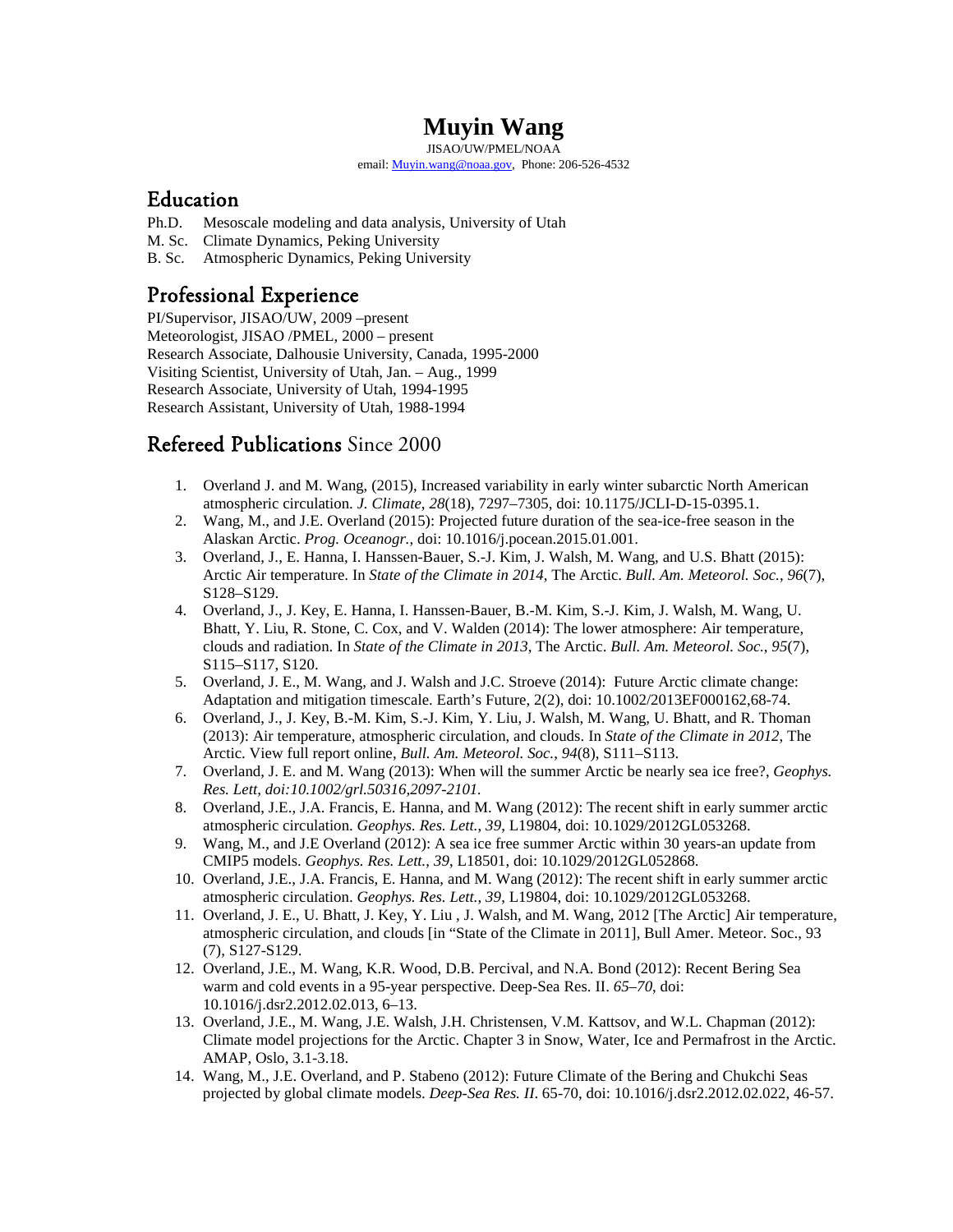# **Muyin Wang**

JISAO/UW/PMEL/NOAA email: [Muyin.wang@noaa.gov,](mailto:Muyin.wang@noaa.gov) Phone: 206-526-4532

#### Education

- Ph.D. Mesoscale modeling and data analysis, University of Utah
- M. Sc. Climate Dynamics, Peking University
- B. Sc. Atmospheric Dynamics, Peking University

## Professional Experience

PI/Supervisor, JISAO/UW, 2009 –present Meteorologist, JISAO /PMEL, 2000 – present Research Associate, Dalhousie University, Canada, 1995-2000 Visiting Scientist, University of Utah, Jan. – Aug., 1999 Research Associate, University of Utah, 1994-1995 Research Assistant, University of Utah, 1988-1994

# Refereed Publications Since 2000

- 1. Overland J. and M. Wang, (2015)[, Increased variability in early winter subarctic North American](http://pmel.noaa.gov/public/pmel/publications-search/search_abstract.php?fmContributionNum=4327)  [atmospheric circulation.](http://pmel.noaa.gov/public/pmel/publications-search/search_abstract.php?fmContributionNum=4327) *J. Climate*, *28*(18), 7297–7305, doi: 10.1175/JCLI-D-15-0395.1.
- 2. Wang, M., and J.E. Overland (2015): Projected future duration of the sea-ice-free season in the Alaskan Arctic. *Prog. Oceanogr.*, doi: 10.1016/j.pocean.2015.01.001.
- 3. Overland, J., E. Hanna, I. Hanssen-Bauer, S.-J. Kim, J. Walsh, M. Wang, and U.S. Bhatt (2015): Arctic Air temperature. In *[State of the Climate in 2014](http://pmel.noaa.gov/public/pmel/publications-search/search_abstract.php?fmContributionNum=4343)*, The Arctic. *Bull. Am. Meteorol. Soc.*, *96*(7), S128–S129.
- 4. Overland, J., J. Key, E. Hanna, I. Hanssen-Bauer, B.-M. Kim, S.-J. Kim, J. Walsh, M. Wang, U. Bhatt, Y. Liu, R. Stone, C. Cox, and V. Walden (2014): [The lower atmosphere: Air temperature,](http://www.pmel.noaa.gov/public/pmel/publications-search/search_abstract.php?fmContributionNum=4206)  clouds and radiation. In *[State of the Climate in 2013](http://www.pmel.noaa.gov/public/pmel/publications-search/search_abstract.php?fmContributionNum=4206)*, The Arctic. *Bull. Am. Meteorol. Soc.*, *95*(7), S115–S117, S120.
- 5. Overland, J. E., M. Wang, and J. Walsh and J.C. Stroeve (2014): Future Arctic climate change: Adaptation and mitigation timescale. Earth's Future, 2(2), doi: 10.1002/2013EF000162,68-74.
- 6. Overland, J., J. Key, B.-M. Kim, S.-J. Kim, Y. Liu, J. Walsh, M. Wang, U. Bhatt, and R. Thoman (2013)[: Air temperature, atmospheric circulation, and clouds. In](http://www.pmel.noaa.gov/public/pmel/publications-search/search_abstract.php?fmContributionNum=4038) *State of the Climate in 2012*, The [Arctic.](http://www.pmel.noaa.gov/public/pmel/publications-search/search_abstract.php?fmContributionNum=4038) [View full report online,](http://www.ncdc.noaa.gov/bams-state-of-the-climate/2012.php) *Bull. Am. Meteorol. Soc.*, *94*(8), S111–S113.
- 7. Overland, J. E. and M. Wang (2013): When will the summer Arctic be nearly sea ice free?, *Geophys. Res. Lett, doi:10.1002/grl.50316,2097-2101.*
- 8. Overland, J.E., J.A. Francis, E. Hanna, and M. Wang (2012): [The recent shift in early](http://www.pmel.noaa.gov/publications/search_abstract.php?fmContributionNum=3890) summer arctic [atmospheric circulation.](http://www.pmel.noaa.gov/publications/search_abstract.php?fmContributionNum=3890) *Geophys. Res. Lett.*, *39*, L19804, doi: 10.1029/2012GL053268.
- 9. Wang, M., and J.E Overland (2012): [A sea ice free summer Arctic within 30 years-an update from](http://www.pmel.noaa.gov/publications/search_abstract.php?fmContributionNum=3869)  [CMIP5 models.](http://www.pmel.noaa.gov/publications/search_abstract.php?fmContributionNum=3869) *Geophys. Res. Lett.*, *39*, L18501, doi: 10.1029/2012GL052868.
- 10. Overland, J.E., J.A. Francis, E. Hanna, and M. Wang (2012): [The recent shift in early summer arctic](http://www.pmel.noaa.gov/publications/search_abstract.php?fmContributionNum=3890)  [atmospheric circulation.](http://www.pmel.noaa.gov/publications/search_abstract.php?fmContributionNum=3890) *Geophys. Res. Lett.*, *39*, L19804, doi: 10.1029/2012GL053268.
- 11. Overland, J. E., U. Bhatt, J. Key, Y. Liu , J. Walsh, and M. Wang, 2012 [The Arctic] Air temperature, atmospheric circulation, and clouds [in "State of the Climate in 2011], Bull Amer. Meteor. Soc., 93 (7), S127-S129.
- 12. Overland, J.E., M. Wang, K.R. Wood, D.B. Percival, and N.A. Bond (2012): Recent Bering Sea warm and cold events in a 95-year perspective. Deep-Sea Res. II. *65–70*, doi: 10.1016/j.dsr2.2012.02.013, 6–13.
- 13. Overland, J.E., M. Wang, J.E. Walsh, J.H. Christensen, V.M. Kattsov, and W.L. Chapman (2012): Climate model projections for the Arctic. Chapter 3 in Snow, Water, Ice and Permafrost in the Arctic. AMAP, Oslo, 3.1-3.18.
- 14. Wang, M., J.E. Overland, and P. Stabeno (2012): Future Climate of the Bering and Chukchi Seas projected by global climate models. *Deep-Sea Res. II*. 65-70, doi: 10.1016/j.dsr2.2012.02.022, 46-57.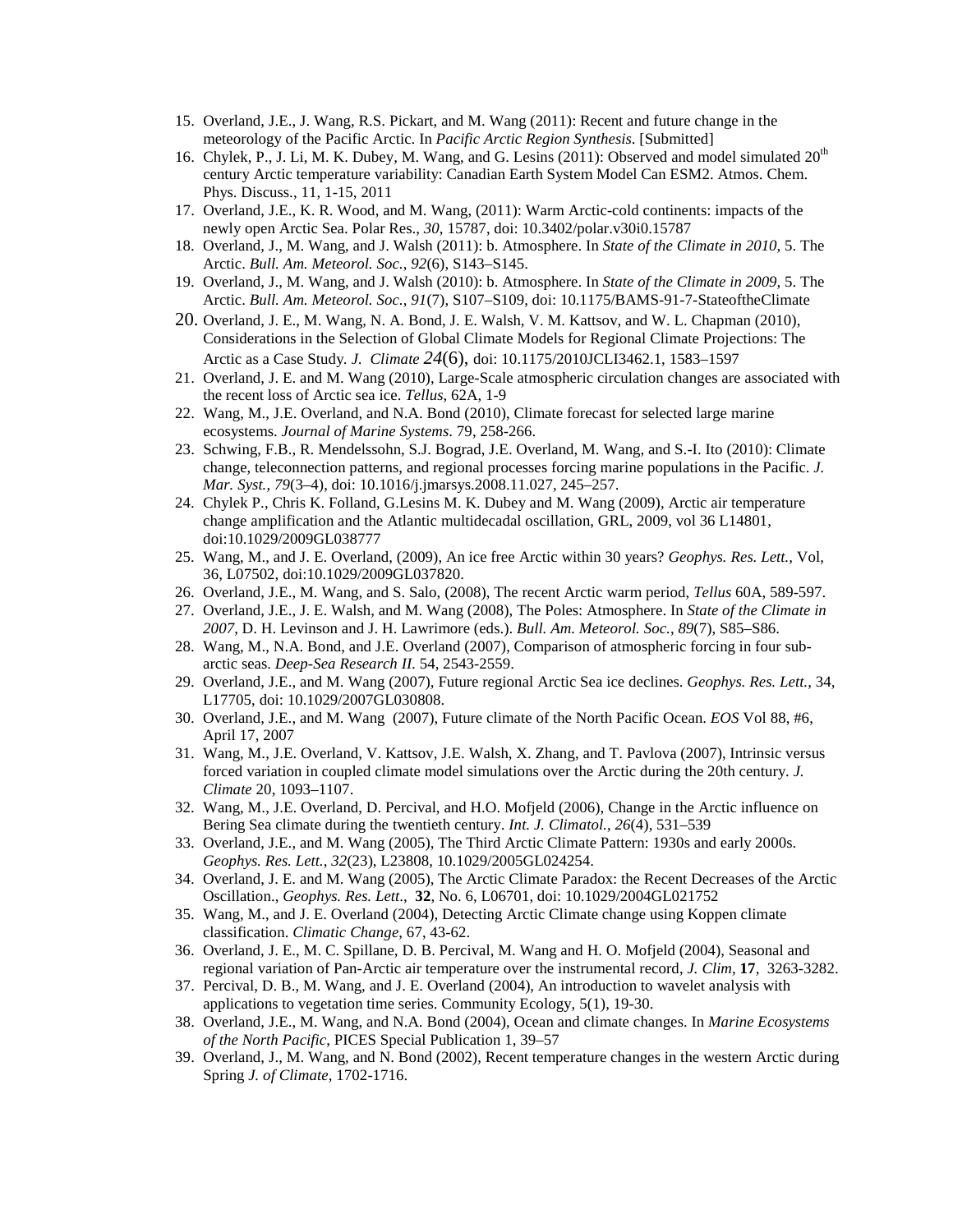- 15. Overland, J.E., J. Wang, R.S. Pickart, and M. Wang (2011): Recent and future change in the meteorology of the Pacific Arctic. In *Pacific Arctic Region Synthesis*. [Submitted]
- 16. Chylek, P., J. Li, M. K. Dubey, M. Wang, and G. Lesins (2011): Observed and model simulated  $20<sup>th</sup>$ century Arctic temperature variability: Canadian Earth System Model Can ESM2. Atmos. Chem. Phys. Discuss., 11, 1-15, 2011
- 17. Overland, J.E., K. R. Wood, and M. Wang, (2011): Warm Arctic-cold continents: impacts of the newly open Arctic Sea. Polar Res., *30*, 15787, doi: 10.3402/polar.v30i0.15787
- 18. Overland, J., M. Wang, and J. Walsh (2011): b. Atmosphere. In *[State of the Climate in 2010](http://www.pmel.noaa.gov/publications/search_abstract.php?fmContributionNum=3677)*, 5. The [Arctic.](http://www.pmel.noaa.gov/publications/search_abstract.php?fmContributionNum=3677) *Bull. Am. Meteorol. Soc.*, *92*(6), S143–S145.
- 19. Overland, J., M. Wang, and J. Walsh (2010): b. Atmosphere. In *[State of the Climate in 2009](http://www.pmel.noaa.gov/publications/search_abstract.php?fmContributionNum=3588)*, 5. The [Arctic.](http://www.pmel.noaa.gov/publications/search_abstract.php?fmContributionNum=3588) *Bull. Am. Meteorol. Soc.*, *91*(7), S107–S109, doi: 10.1175/BAMS-91-7-StateoftheClimate
- 20. Overland, J. E., M. Wang, N. A. Bond, J. E. Walsh, V. M. Kattsov, and W. L. Chapman (2010), Considerations in the Selection of Global Climate Models for Regional Climate Projections: The Arctic as a Case Study*. J. Climate 24*(6), doi: 10.1175/2010JCLI3462.1, 1583–1597
- 21. Overland, J. E. and M. Wang (2010), Large-Scale atmospheric circulation changes are associated with the recent loss of Arctic sea ice. *Tellus*, 62A, 1-9
- 22. Wang, M., J.E. Overland, and N.A. Bond (2010), Climate forecast for selected large marine ecosystems. *Journal of Marine Systems*. 79, 258-266.
- 23. Schwing, F.B., R. Mendelssohn, S.J. Bograd, J.E. Overland, M. Wang, and S.-I. Ito (2010): [Climate](http://www.pmel.noaa.gov/publications/search_abstract.php?fmContributionNum=3319)  [change, teleconnection patterns, and regional processes forcing marine populations in the Pacific.](http://www.pmel.noaa.gov/publications/search_abstract.php?fmContributionNum=3319) *J. Mar. Syst.*, *79*(3–4), doi: 10.1016/j.jmarsys.2008.11.027, 245–257.
- 24. Chylek P., Chris K. Folland, G.Lesins M. K. Dubey and M. Wang (2009), Arctic air temperature change amplification and the Atlantic multidecadal oscillation, GRL, 2009, vol 36 L14801, doi:10.1029/2009GL038777
- 25. Wang, M., and J. E. Overland, (2009), An ice free Arctic within 30 years? *Geophys. Res. Lett.,* Vol, 36, L07502, doi:10.1029/2009GL037820.
- 26. Overland, J.E., M. Wang, and S. Salo, (2008), The recent Arctic warm period, *Tellus* 60A, 589-597.
- 27. Overland, J.E., J. E. Walsh, and M. Wang (2008), [The Poles: Atmosphere. In](http://www.pmel.noaa.gov/publications/search_abstract.php?fmContributionNum=3250) *State of the Climate in 2007*[, D. H. Levinson and J. H. Lawrimore \(eds.\).](http://www.pmel.noaa.gov/publications/search_abstract.php?fmContributionNum=3250) *Bull. Am. Meteorol. Soc.*, *89*(7), S85–S86.
- 28. Wang, M., N.A. Bond, and J.E. Overland (2007), Comparison of atmospheric forcing in four subarctic seas. *Deep-Sea Research II.* 54, 2543-2559.
- 29. Overland, J.E., and M. Wang (2007), [Future regional Arctic Sea ice declines.](http://www.pmel.noaa.gov/publications/search_abstract.php?fmContributionNum=3081) *Geophys. Res. Lett.*, 34*,* L17705, doi: 10.1029/2007GL030808.
- 30. Overland, J.E., and M. Wang (2007), Future climate of the North Pacific Ocean. *EOS* Vol 88, #6, April 17, 2007
- 31. Wang, M., J.E. Overland, V. Kattsov, J.E. Walsh, X. Zhang, and T. Pavlova (2007), Intrinsic versus forced variation in coupled climate model simulations over the Arctic during the 20th century. *J. Climate* 20, 1093–1107.
- 32. Wang, M., J.E. Overland, D. Percival, and H.O. Mofjeld (2006), [Change in the Arctic](http://www.pmel.noaa.gov/publications/search_abstract.php?fmContributionNum=2793) influence on [Bering Sea climate during the twentieth century.](http://www.pmel.noaa.gov/publications/search_abstract.php?fmContributionNum=2793) *Int. J. Climatol.*, *26*(4), 531–539
- 33. Overland, J.E., and M. Wang (2005), The Third Arctic Climate Pattern: 1930s and early 2000s. *Geophys. Res. Lett.*, *32*(23), L23808, 10.1029/2005GL024254.
- 34. Overland, J. E. and M. Wang (2005), The Arctic Climate Paradox: the Recent Decreases of the Arctic Oscillation., *Geophys. Res. Lett*., **32**, No. 6, L06701, doi: 10.1029/2004GL021752
- 35. Wang, M., and J. E. Overland (2004), Detecting Arctic Climate change using Koppen climate classification. *Climatic Change*, 67, 43-62.
- 36. Overland, J. E., M. C. Spillane, D. B. Percival, M. Wang and H. O. Mofjeld (2004), Seasonal and regional variation of Pan-Arctic air temperature over the instrumental record, *J. Clim,* **17***,* 3263-3282.
- 37. Percival, D. B., M. Wang, and J. E. Overland (2004), An introduction to wavelet analysis with applications to vegetation time series. Community Ecology, 5(1), 19-30.
- 38. Overland, J.E., M. Wang, and N.A. Bond (2004), [Ocean and climate changes.](http://www.pmel.noaa.gov/publications/search_abstract.php?fmContributionNum=2591) In *Marine Ecosystems of the North Pacific*, PICES Special Publication 1, 39–57
- 39. Overland, J., M. Wang, and N. Bond (2002), [Recent temperature changes in the western Arctic during](http://www.pmel.noaa.gov/publications/search_abstract.php?fmContributionNum=2348)  [Spring](http://www.pmel.noaa.gov/publications/search_abstract.php?fmContributionNum=2348) *J. of Climate*, 1702-1716.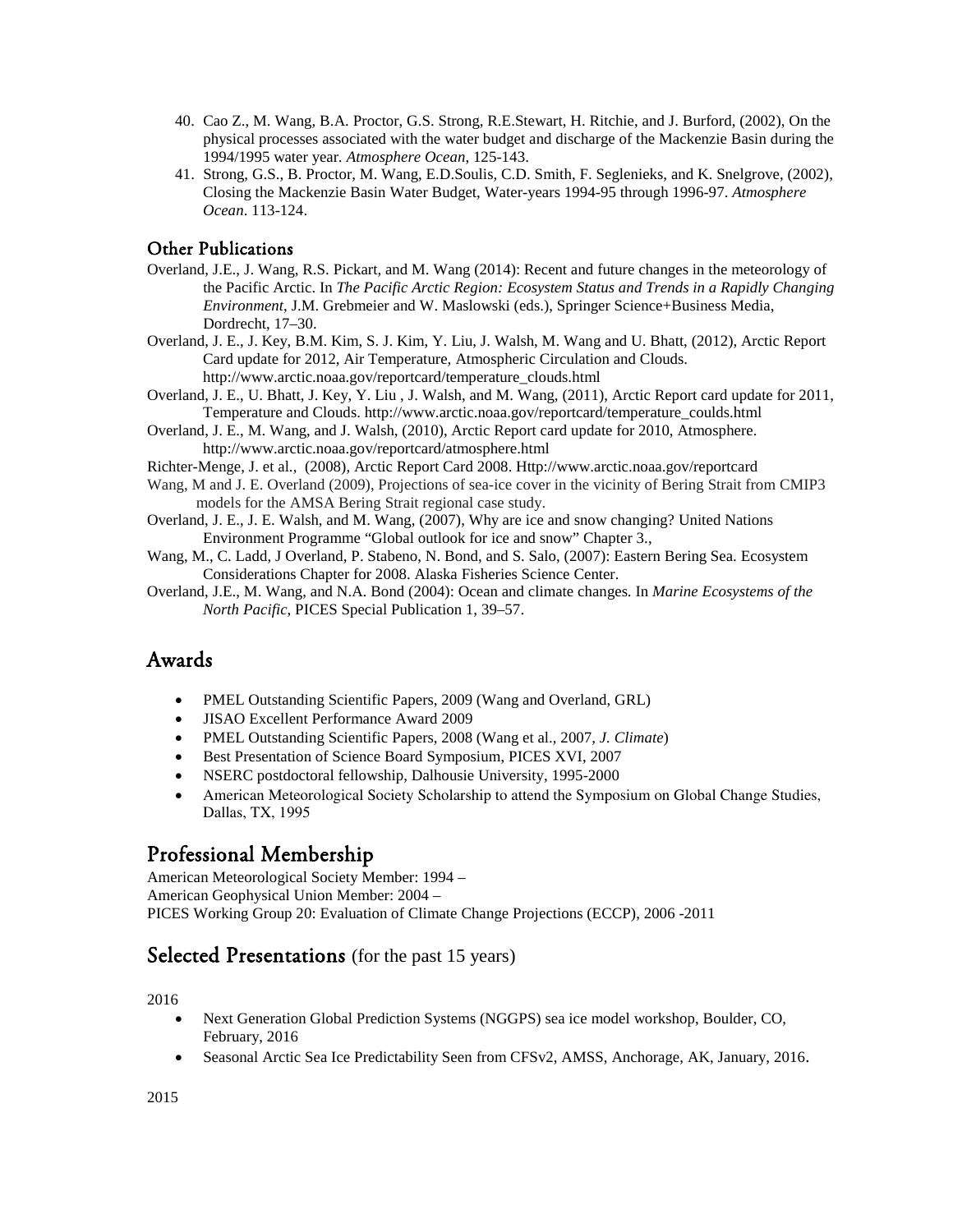- 40. Cao Z., M. Wang, B.A. Proctor, G.S. Strong, R.E.Stewart, H. Ritchie, and J. Burford, (2002), On the physical processes associated with the water budget and discharge of the Mackenzie Basin during the 1994/1995 water year*. Atmosphere Ocean*, 125-143.
- 41. Strong, G.S., B. Proctor, M. Wang, E.D.Soulis, C.D. Smith, F. Seglenieks, and K. Snelgrove, (2002), Closing the Mackenzie Basin Water Budget, Water-years 1994-95 through 1996-97. *Atmosphere Ocean*. 113-124.

#### Other Publications

- Overland, J.E., J. Wang, R.S. Pickart, and M. Wang (2014)[: Recent and future changes in the meteorology of](http://www.pmel.noaa.gov/public/pmel/publications-search/search_abstract.php?fmContributionNum=3679)  [the Pacific Arctic.](http://www.pmel.noaa.gov/public/pmel/publications-search/search_abstract.php?fmContributionNum=3679) In *The Pacific Arctic Region: Ecosystem Status and Trends in a Rapidly Changing Environment*, J.M. Grebmeier and W. Maslowski (eds.), Springer Science+Business Media, Dordrecht, 17–30.
- Overland, J. E., J. Key, B.M. Kim, S. J. Kim, Y. Liu, J. Walsh, M. Wang and U. Bhatt, (2012), Arctic Report Card update for 2012, Air Temperature, Atmospheric Circulation and Clouds. http://www.arctic.noaa.gov/reportcard/temperature\_clouds.html
- Overland, J. E., U. Bhatt, J. Key, Y. Liu , J. Walsh, and M. Wang, (2011), Arctic Report card update for 2011, Temperature and Clouds. http://www.arctic.noaa.gov/reportcard/temperature\_coulds.html
- Overland, J. E., M. Wang, and J. Walsh, (2010), Arctic Report card update for 2010, Atmosphere. http://www.arctic.noaa.gov/reportcard/atmosphere.html
- Richter-Menge, J. et al., (2008), Arctic Report Card 2008. Http://www.arctic.noaa.gov/reportcard
- Wang, M and J. E. Overland (2009), Projections of sea-ice cover in the vicinity of Bering Strait from CMIP3 models for the AMSA Bering Strait regional case study.
- Overland, J. E., J. E. Walsh, and M. Wang, (2007), Why are ice and snow changing? United Nations Environment Programme "Global outlook for ice and snow" Chapter 3.,
- Wang, M., C. Ladd, J Overland, P. Stabeno, N. Bond, and S. Salo, (2007): Eastern Bering Sea. Ecosystem Considerations Chapter for 2008. Alaska Fisheries Science Center.
- Overland, J.E., M. Wang, and N.A. Bond (2004)[: Ocean and climate changes.](http://www.pmel.noaa.gov/publications/search_abstract.php?fmContributionNum=2591) In *Marine Ecosystems of the North Pacific*, PICES Special Publication 1, 39–57.

### Awards

- PMEL Outstanding Scientific Papers, 2009 (Wang and Overland, GRL)
- JISAO Excellent Performance Award 2009
- PMEL Outstanding Scientific Papers, 2008 (Wang et al., 2007*, J. Climate*)
- Best Presentation of Science Board Symposium, PICES XVI, 2007
- NSERC postdoctoral fellowship, Dalhousie University, 1995-2000
- American Meteorological Society Scholarship to attend the Symposium on Global Change Studies, Dallas, TX, 1995

#### Professional Membership

American Meteorological Society Member: 1994 – American Geophysical Union Member: 2004 – PICES Working Group 20: Evaluation of Climate Change Projections (ECCP), 2006 -2011

#### Selected Presentations (for the past 15 years)

2016

- Next Generation Global Prediction Systems (NGGPS) sea ice model workshop, Boulder, CO, February, 2016
- Seasonal Arctic Sea Ice Predictability Seen from CFSv2, AMSS, Anchorage, AK, January, 2016.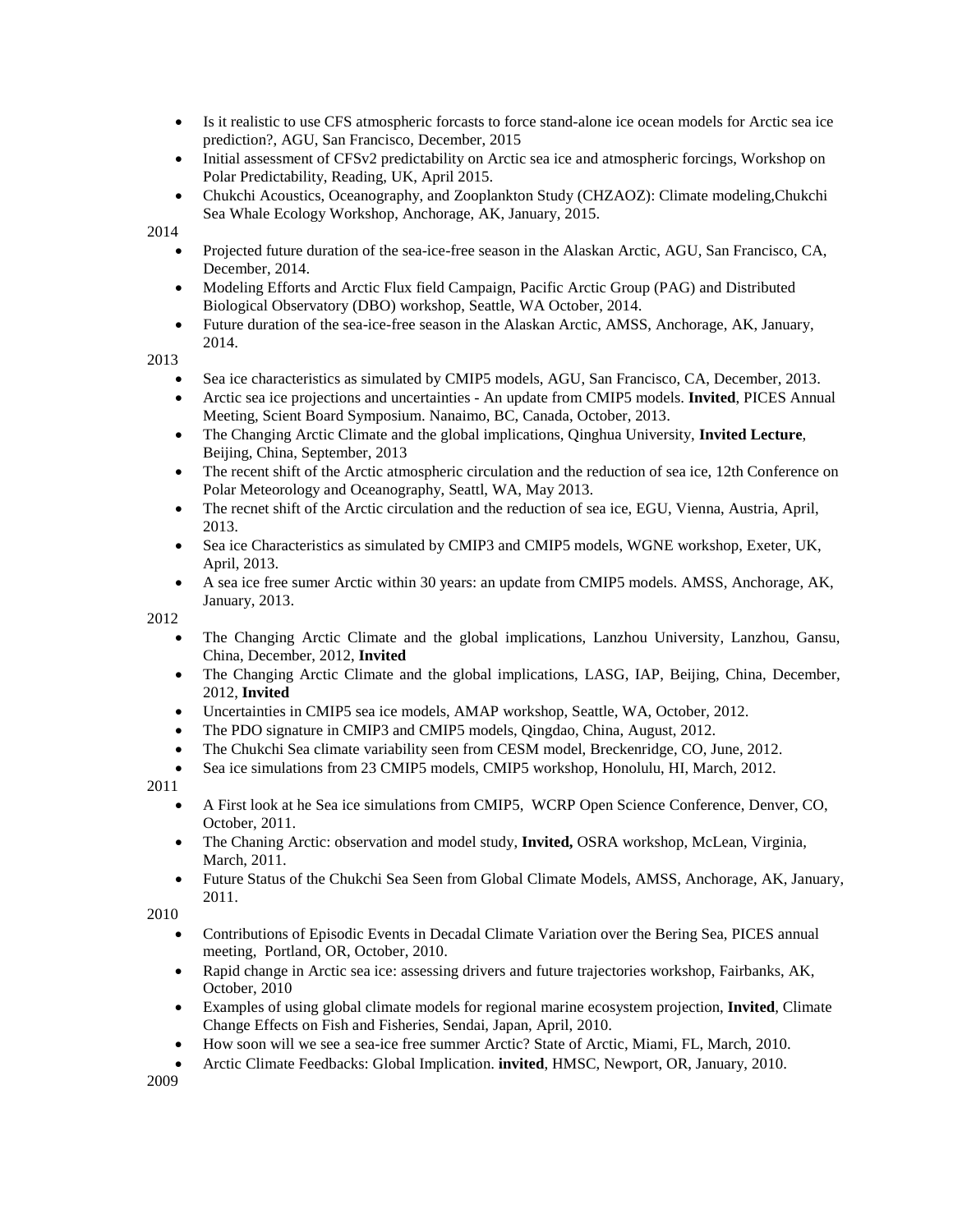- Is it realistic to use CFS atmospheric forcasts to force stand-alone ice ocean models for Arctic sea ice prediction?, AGU, San Francisco, December, 2015
- Initial assessment of CFSv2 predictability on Arctic sea ice and atmospheric forcings, Workshop on Polar Predictability, Reading, UK, April 2015.
- Chukchi Acoustics, Oceanography, and Zooplankton Study (CHZAOZ): Climate modeling,Chukchi Sea Whale Ecology Workshop, Anchorage, AK, January, 2015.

2014

- Projected future duration of the sea-ice-free season in the Alaskan Arctic, AGU, San Francisco, CA, December, 2014.
- Modeling Efforts and Arctic Flux field Campaign, Pacific Arctic Group (PAG) and Distributed Biological Observatory (DBO) workshop, Seattle, WA October, 2014.
- Future duration of the sea-ice-free season in the Alaskan Arctic, AMSS, Anchorage, AK, January, 2014.

2013

- Sea ice characteristics as simulated by CMIP5 models, AGU, San Francisco, CA, December, 2013.
- Arctic sea ice projections and uncertainties An update from CMIP5 models. **Invited**, PICES Annual Meeting, Scient Board Symposium. Nanaimo, BC, Canada, October, 2013.
- The Changing Arctic Climate and the global implications, Qinghua University, **Invited Lecture**, Beijing, China, September, 2013
- The recent shift of the Arctic atmospheric circulation and the reduction of sea ice, 12th Conference on Polar Meteorology and Oceanography, Seattl, WA, May 2013.
- The recnet shift of the Arctic circulation and the reduction of sea ice, EGU, Vienna, Austria, April, 2013.
- Sea ice Characteristics as simulated by CMIP3 and CMIP5 models, WGNE workshop, Exeter, UK, April, 2013.
- A sea ice free sumer Arctic within 30 years: an update from CMIP5 models. AMSS, Anchorage, AK, January, 2013.

2012

- The Changing Arctic Climate and the global implications, Lanzhou University, Lanzhou, Gansu, China, December, 2012, **Invited**
- The Changing Arctic Climate and the global implications, LASG, IAP, Beijing, China, December, 2012, **Invited**
- Uncertainties in CMIP5 sea ice models, AMAP workshop, Seattle, WA, October, 2012.
- The PDO signature in CMIP3 and CMIP5 models, Qingdao, China, August, 2012.
- The Chukchi Sea climate variability seen from CESM model, Breckenridge, CO, June, 2012.
- Sea ice simulations from 23 CMIP5 models, CMIP5 workshop, Honolulu, HI, March, 2012.

2011

- A First look at he Sea ice simulations from CMIP5, WCRP Open Science Conference, Denver, CO, October, 2011.
- The Chaning Arctic: observation and model study, **Invited,** OSRA workshop, McLean, Virginia, March, 2011.
- Future Status of the Chukchi Sea Seen from Global Climate Models, AMSS, Anchorage, AK, January, 2011.

2010

- Contributions of Episodic Events in Decadal Climate Variation over the Bering Sea, PICES annual meeting, Portland, OR, October, 2010.
- Rapid change in Arctic sea ice: assessing drivers and future trajectories workshop, Fairbanks, AK, October, 2010
- Examples of using global climate models for regional marine ecosystem projection, **Invited**, Climate Change Effects on Fish and Fisheries, Sendai, Japan, April, 2010.
- How soon will we see a sea-ice free summer Arctic? State of Arctic, Miami, FL, March, 2010.
- Arctic Climate Feedbacks: Global Implication. **invited**, HMSC, Newport, OR, January, 2010.

2009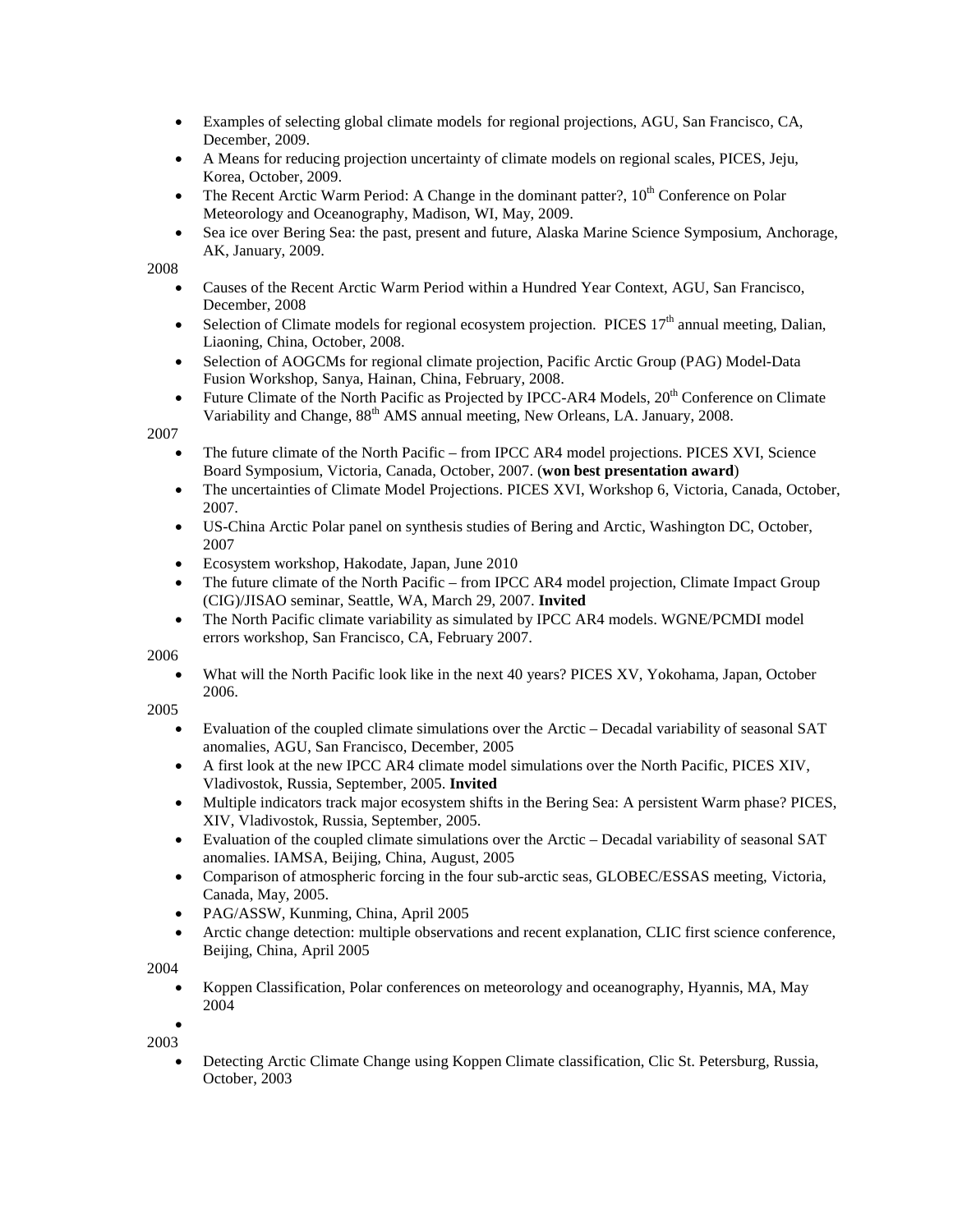- Examples of selecting global climate models for regional projections, AGU, San Francisco, CA, December, 2009.
- A Means for reducing projection uncertainty of climate models on regional scales, PICES, Jeju, Korea, October, 2009.
- The Recent Arctic Warm Period: A Change in the dominant patter?,  $10<sup>th</sup>$  Conference on Polar Meteorology and Oceanography, Madison, WI, May, 2009.
- Sea ice over Bering Sea: the past, present and future, Alaska Marine Science Symposium, Anchorage, AK, January, 2009.

2008

- Causes of the Recent Arctic Warm Period within a Hundred Year Context, AGU, San Francisco, December, 2008
- Selection of Climate models for regional ecosystem projection. PICES  $17<sup>th</sup>$  annual meeting, Dalian, Liaoning, China, October, 2008.
- Selection of AOGCMs for regional climate projection, Pacific Arctic Group (PAG) Model-Data Fusion Workshop, Sanya, Hainan, China, February, 2008.
- Future Climate of the North Pacific as Projected by IPCC-AR4 Models,  $20<sup>th</sup>$  Conference on Climate Variability and Change,  $88<sup>th</sup>$  AMS annual meeting, New Orleans, LA. January, 2008.

2007

- The future climate of the North Pacific from IPCC AR4 model projections. PICES XVI, Science Board Symposium, Victoria, Canada, October, 2007. (**won best presentation award**)
- The uncertainties of Climate Model Projections. PICES XVI, Workshop 6, Victoria, Canada, October, 2007.
- US-China Arctic Polar panel on synthesis studies of Bering and Arctic, Washington DC, October, 2007
- Ecosystem workshop, Hakodate, Japan, June 2010
- The future climate of the North Pacific from IPCC AR4 model projection, Climate Impact Group (CIG)/JISAO seminar, Seattle, WA, March 29, 2007. **Invited**
- The North Pacific climate variability as simulated by IPCC AR4 models. WGNE/PCMDI model errors workshop, San Francisco, CA, February 2007.

2006

• What will the North Pacific look like in the next 40 years? PICES XV, Yokohama, Japan, October 2006.

2005

- Evaluation of the coupled climate simulations over the Arctic Decadal variability of seasonal SAT anomalies, AGU, San Francisco, December, 2005
- A first look at the new IPCC AR4 climate model simulations over the North Pacific, PICES XIV, Vladivostok, Russia, September, 2005. **Invited**
- Multiple indicators track major ecosystem shifts in the Bering Sea: A persistent Warm phase? PICES, XIV, Vladivostok, Russia, September, 2005.
- Evaluation of the coupled climate simulations over the Arctic Decadal variability of seasonal SAT anomalies. IAMSA, Beijing, China, August, 2005
- Comparison of atmospheric forcing in the four sub-arctic seas, GLOBEC/ESSAS meeting, Victoria, Canada, May, 2005.
- PAG/ASSW, Kunming, China, April 2005
- Arctic change detection: multiple observations and recent explanation, CLIC first science conference, Beijing, China, April 2005

2004

• Koppen Classification, Polar conferences on meteorology and oceanography, Hyannis, MA, May 2004

• 2003

> • Detecting Arctic Climate Change using Koppen Climate classification, Clic St. Petersburg, Russia, October, 2003